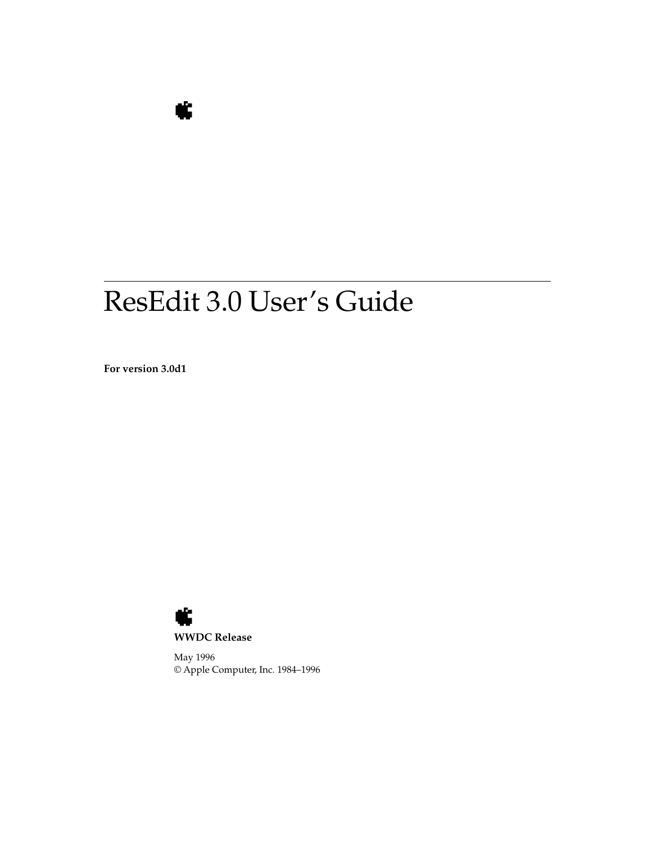# ResEdit 3.0 User's Guide

**For version 3.0d1**



May 1996 © Apple Computer, Inc. 1984–1996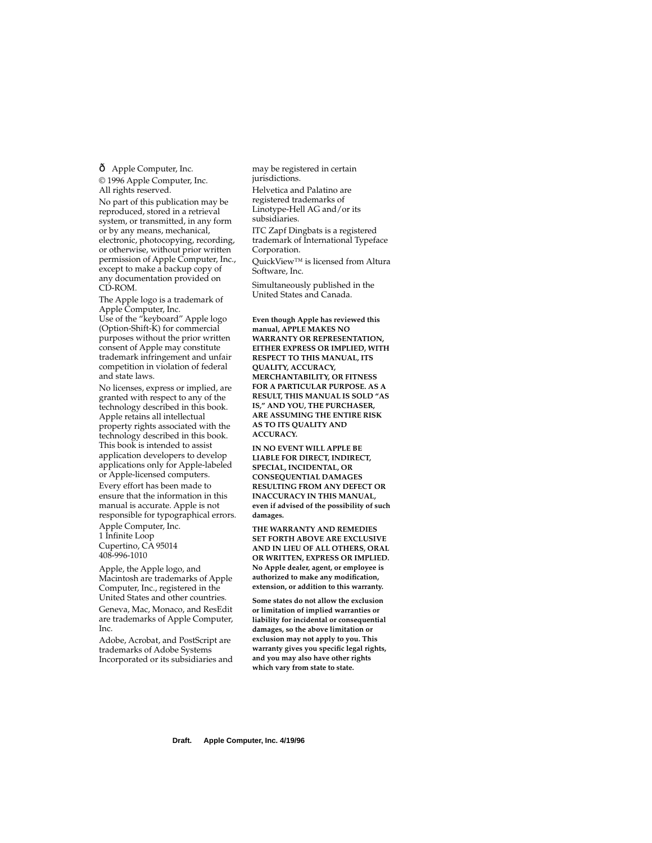Apple Computer, Inc. © 1996 Apple Computer, Inc. All rights reserved.

No part of this publication may be reproduced, stored in a retrieval system, or transmitted, in any form or by any means, mechanical, electronic, photocopying, recording, or otherwise, without prior written permission of Apple Computer, Inc., except to make a backup copy of any documentation provided on CD-ROM.

The Apple logo is a trademark of Apple Computer, Inc. Use of the "keyboard" Apple logo (Option-Shift-K) for commercial purposes without the prior written consent of Apple may constitute trademark infringement and unfair competition in violation of federal and state laws.

No licenses, express or implied, are granted with respect to any of the technology described in this book. Apple retains all intellectual property rights associated with the technology described in this book. This book is intended to assist application developers to develop applications only for Apple-labeled or Apple-licensed computers.

Every effort has been made to ensure that the information in this manual is accurate. Apple is not responsible for typographical errors. Apple Computer, Inc. 1 Infinite Loop

Cupertino, CA 95014 408-996-1010

Apple, the Apple logo, and Macintosh are trademarks of Apple Computer, Inc., registered in the United States and other countries. Geneva, Mac, Monaco, and ResEdit are trademarks of Apple Computer, Inc.

Adobe, Acrobat, and PostScript are trademarks of Adobe Systems Incorporated or its subsidiaries and may be registered in certain jurisdictions.

Helvetica and Palatino are registered trademarks of Linotype-Hell AG and/or its subsidiaries.

ITC Zapf Dingbats is a registered trademark of International Typeface Corporation. QuickView™ is licensed from Altura

Software, Inc.

Simultaneously published in the United States and Canada.

**Even though Apple has reviewed this manual, APPLE MAKES NO WARRANTY OR REPRESENTATION, EITHER EXPRESS OR IMPLIED, WITH RESPECT TO THIS MANUAL, ITS QUALITY, ACCURACY, MERCHANTABILITY, OR FITNESS FOR A PARTICULAR PURPOSE. AS A RESULT, THIS MANUAL IS SOLD "AS IS," AND YOU, THE PURCHASER, ARE ASSUMING THE ENTIRE RISK AS TO ITS QUALITY AND ACCURACY.**

**IN NO EVENT WILL APPLE BE LIABLE FOR DIRECT, INDIRECT, SPECIAL, INCIDENTAL, OR CONSEQUENTIAL DAMAGES RESULTING FROM ANY DEFECT OR INACCURACY IN THIS MANUAL, even if advised of the possibility of such damages.**

**THE WARRANTY AND REMEDIES SET FORTH ABOVE ARE EXCLUSIVE AND IN LIEU OF ALL OTHERS, ORAL OR WRITTEN, EXPRESS OR IMPLIED. No Apple dealer, agent, or employee is authorized to make any modification, extension, or addition to this warranty.**

**Some states do not allow the exclusion or limitation of implied warranties or liability for incidental or consequential damages, so the above limitation or exclusion may not apply to you. This warranty gives you specific legal rights, and you may also have other rights which vary from state to state.**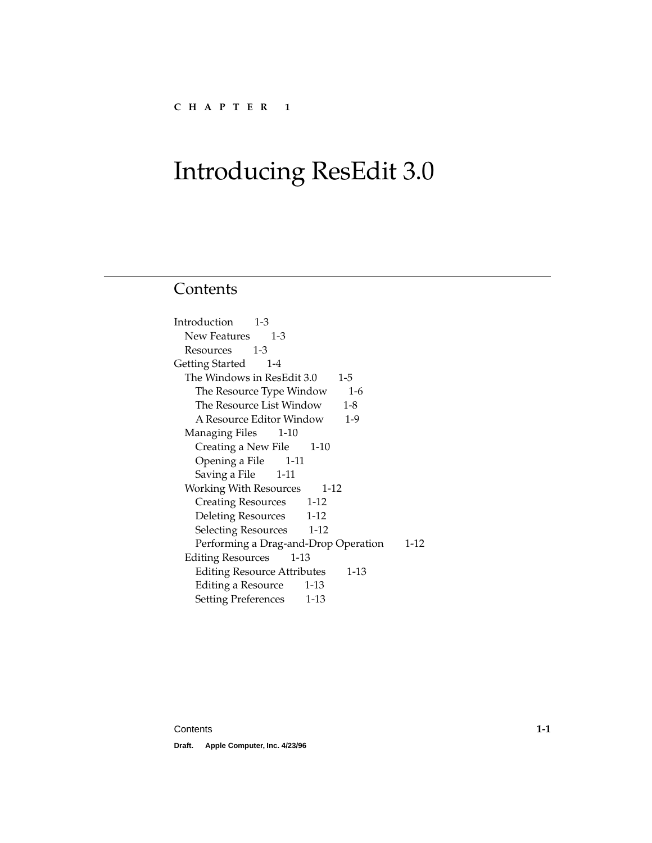# **Contents**

| Introduction 1-3                     |        |
|--------------------------------------|--------|
| New Features 1-3                     |        |
| Resources 1-3                        |        |
| Getting Started 1-4                  |        |
| The Windows in ResEdit 3.0<br>$1-5$  |        |
| The Resource Type Window 1-6         |        |
| The Resource List Window 1-8         |        |
| A Resource Editor Window 1-9         |        |
| Managing Files 1-10                  |        |
| Creating a New File 1-10             |        |
| Opening a File 1-11                  |        |
| Saving a File 1-11                   |        |
| Working With Resources 1-12          |        |
| Creating Resources 1-12              |        |
| Deleting Resources 1-12              |        |
| Selecting Resources 1-12             |        |
| Performing a Drag-and-Drop Operation | $1-12$ |
| Editing Resources 1-13               |        |
| Editing Resource Attributes 1-13     |        |
| Editing a Resource 1-13              |        |
| Setting Preferences 1-13             |        |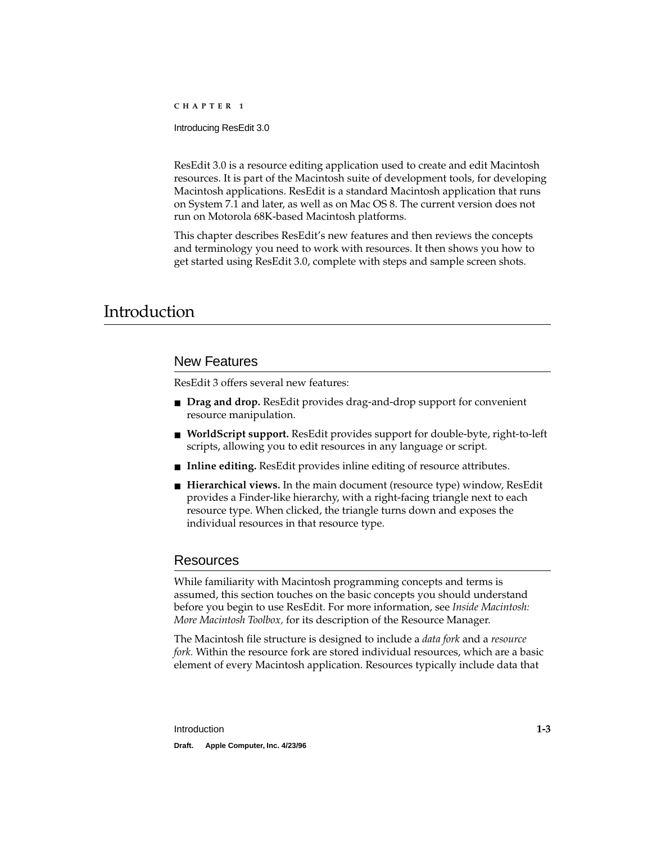<span id="page-4-0"></span>Introducing ResEdit 3.0 1

ResEdit 3.0 is a resource editing application used to create and edit Macintosh resources. It is part of the Macintosh suite of development tools, for developing Macintosh applications. ResEdit is a standard Macintosh application that runs on System 7.1 and later, as well as on Mac OS 8. The current version does not run on Motorola 68K-based Macintosh platforms.

This chapter describes ResEdit's new features and then reviews the concepts and terminology you need to work with resources. It then shows you how to get started using ResEdit 3.0, complete with steps and sample screen shots.

# **Introduction**

#### New Features

ResEdit 3 offers several new features:

- **Drag and drop.** ResEdit provides drag-and-drop support for convenient resource manipulation.
- **WorldScript support.** ResEdit provides support for double-byte, right-to-left scripts, allowing you to edit resources in any language or script.
- **Inline editing.** ResEdit provides inline editing of resource attributes.
- **Hierarchical views.** In the main document (resource type) window, ResEdit provides a Finder-like hierarchy, with a right-facing triangle next to each resource type. When clicked, the triangle turns down and exposes the individual resources in that resource type.

#### **Resources**

While familiarity with Macintosh programming concepts and terms is assumed, this section touches on the basic concepts you should understand before you begin to use ResEdit. For more information, see *Inside Macintosh: More Macintosh Toolbox,* for its description of the Resource Manager.

The Macintosh file structure is designed to include a *data fork* and a *resource fork.* Within the resource fork are stored individual resources, which are a basic element of every Macintosh application. Resources typically include data that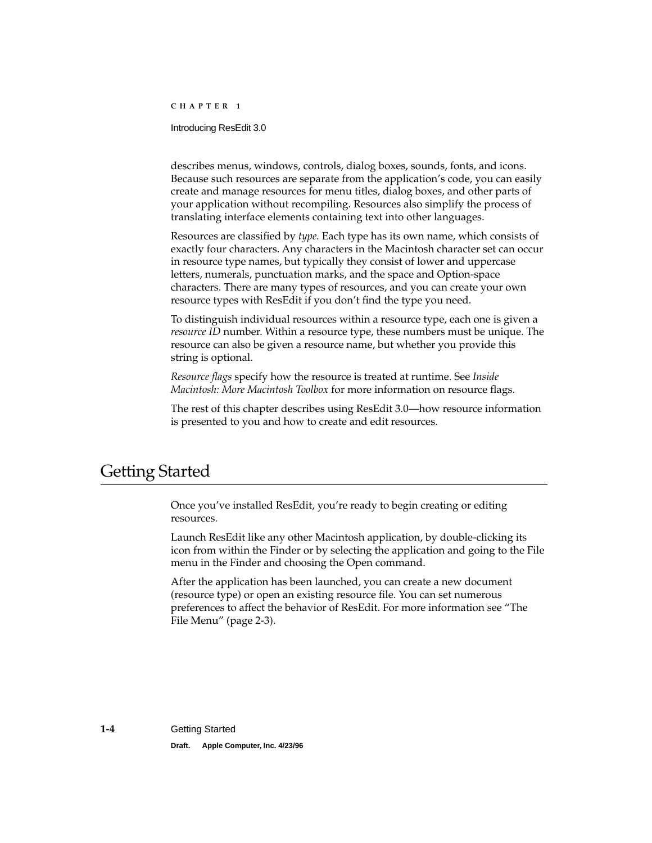<span id="page-5-0"></span>Introducing ResEdit 3.0

describes menus, windows, controls, dialog boxes, sounds, fonts, and icons. Because such resources are separate from the application's code, you can easily create and manage resources for menu titles, dialog boxes, and other parts of your application without recompiling. Resources also simplify the process of translating interface elements containing text into other languages.

Resources are classified by *type.* Each type has its own name, which consists of exactly four characters. Any characters in the Macintosh character set can occur in resource type names, but typically they consist of lower and uppercase letters, numerals, punctuation marks, and the space and Option-space characters. There are many types of resources, and you can create your own resource types with ResEdit if you don't find the type you need.

To distinguish individual resources within a resource type, each one is given a *resource ID* number. Within a resource type, these numbers must be unique. The resource can also be given a resource name, but whether you provide this string is optional.

*Resource flags* specify how the resource is treated at runtime. See *Inside Macintosh: More Macintosh Toolbox* for more information on resource flags.

The rest of this chapter describes using ResEdit 3.0—how resource information is presented to you and how to create and edit resources.

# Getting Started

Once you've installed ResEdit, you're ready to begin creating or editing resources.

Launch ResEdit like any other Macintosh application, by double-clicking its icon from within the Finder or by selecting the application and going to the File menu in the Finder and choosing the Open command.

After the application has been launched, you can create a new document (resource type) or open an existing resource file. You can set numerous preferences to affect the behavior of ResEdit. For more information see ["The](#page-18-0)  [File Menu" \(page 2-3\).](#page-18-0)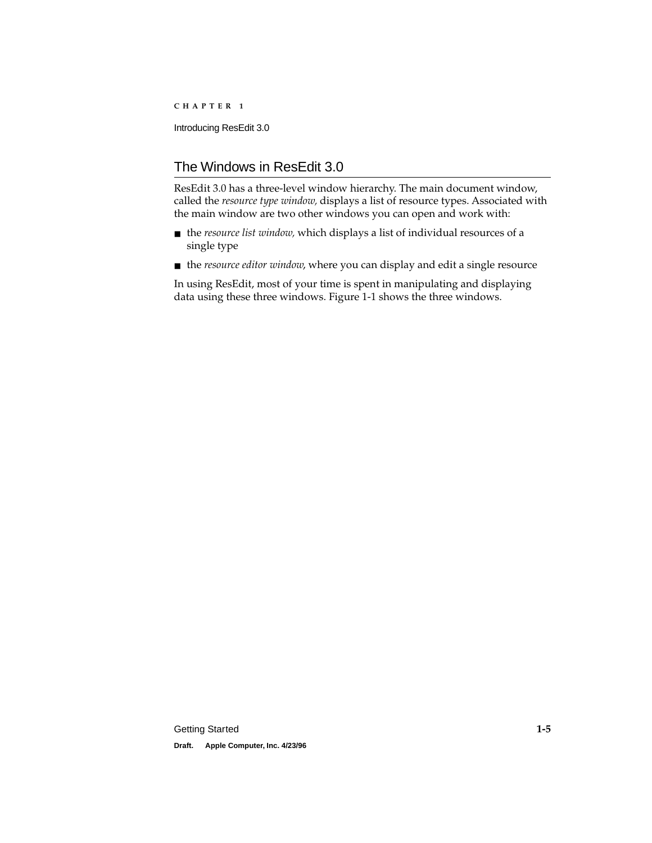## <span id="page-6-0"></span>The Windows in ResEdit 3.0 1

ResEdit 3.0 has a three-level window hierarchy. The main document window, called the *resource type window,* displays a list of resource types. Associated with the main window are two other windows you can open and work with:

- the *resource list window*, which displays a list of individual resources of a single type
- the *resource editor window*, where you can display and edit a single resource

In using ResEdit, most of your time is spent in manipulating and displaying data using these three windows. [Figure 1-1](#page-7-0) shows the three windows.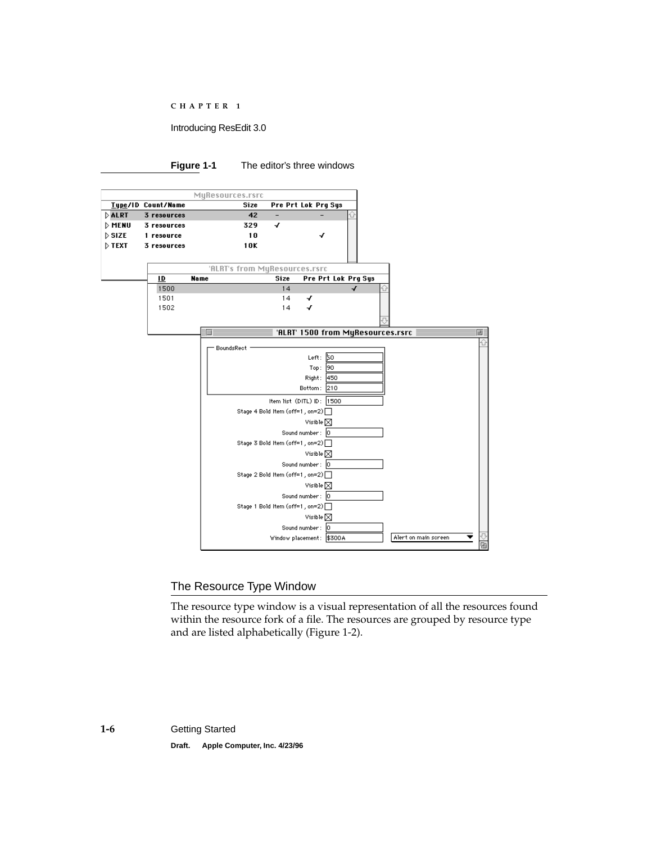#### **Figure 1-1** The editor's three windows

<span id="page-7-0"></span>

#### The Resource Type Window 1

The resource type window is a visual representation of all the resources found within the resource fork of a file. The resources are grouped by resource type and are listed alphabetically ([Figure 1-2](#page-8-0)).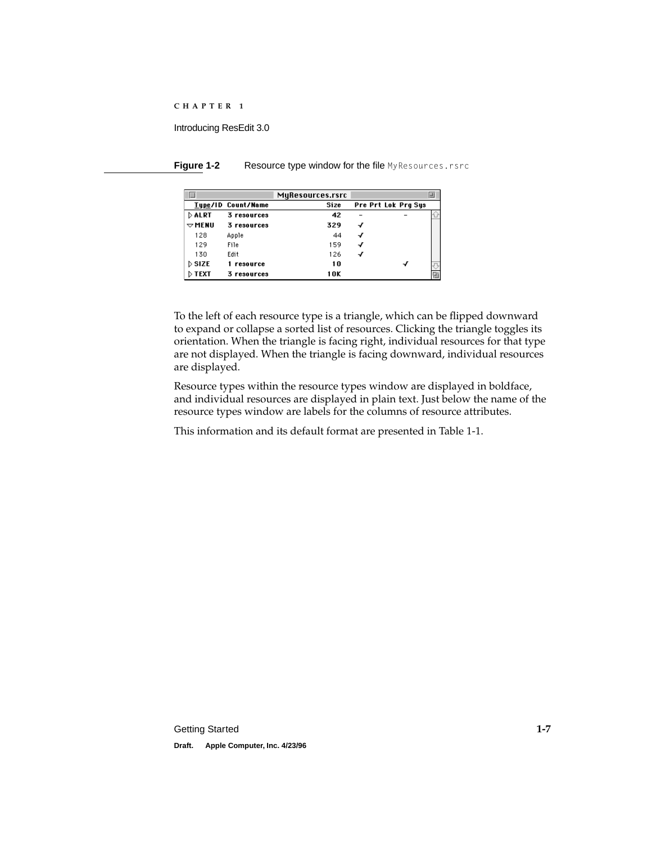|                       |                    | MyResources.rsrc |   |                            |   | l∎≣ |
|-----------------------|--------------------|------------------|---|----------------------------|---|-----|
|                       | Tupe/ID Count/Name | Size             |   | <b>Pre Prt Lok Prg Sus</b> |   |     |
| $\triangleright$ ALRT | 3 resources        | 42               |   |                            |   |     |
| $\sim$ Menu           | 3 resources        | 329              | √ |                            |   |     |
| 128                   | Apple              | 44               |   |                            |   |     |
| 129                   | File               | 159              | √ |                            |   |     |
| 130                   | Edit               | 126              | √ |                            |   |     |
| $\triangleright$ SIZE | 1 resource         | 10               |   |                            | √ |     |
| <b>TEXT</b>           | 3 resources        | 1 O K            |   |                            |   |     |

<span id="page-8-0"></span>Figure 1-2 Resource type window for the file MyResources.rsrc

To the left of each resource type is a triangle, which can be flipped downward to expand or collapse a sorted list of resources. Clicking the triangle toggles its orientation. When the triangle is facing right, individual resources for that type are not displayed. When the triangle is facing downward, individual resources are displayed.

Resource types within the resource types window are displayed in boldface, and individual resources are displayed in plain text. Just below the name of the resource types window are labels for the columns of resource attributes.

This information and its default format are presented in [Table 1-1](#page-9-0).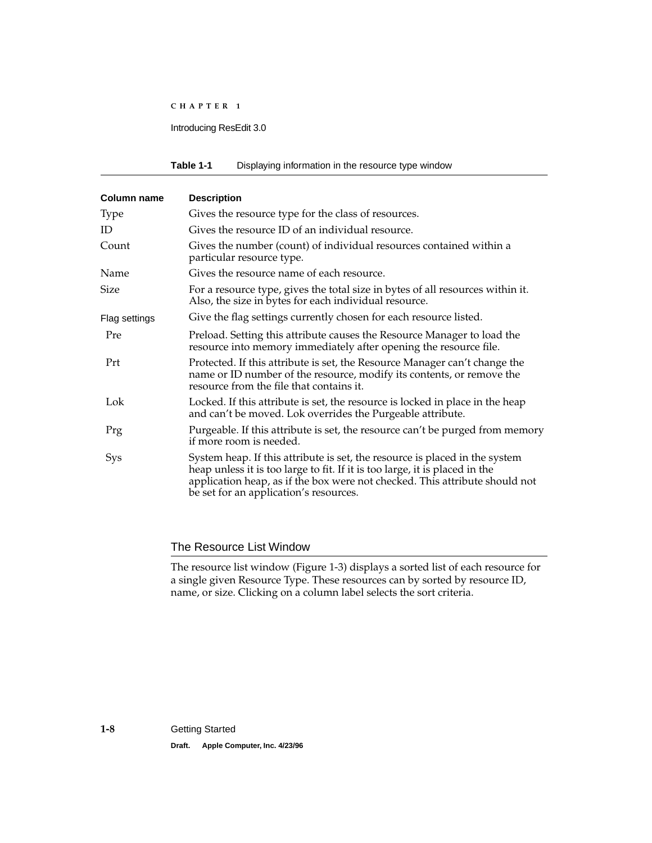| Table 1-1 | Displaying information in the resource type window |  |
|-----------|----------------------------------------------------|--|
|-----------|----------------------------------------------------|--|

<span id="page-9-0"></span>

| Column name   | <b>Description</b>                                                                                                                                                                                                                                                                  |
|---------------|-------------------------------------------------------------------------------------------------------------------------------------------------------------------------------------------------------------------------------------------------------------------------------------|
| Type          | Gives the resource type for the class of resources.                                                                                                                                                                                                                                 |
| ID            | Gives the resource ID of an individual resource.                                                                                                                                                                                                                                    |
| Count         | Gives the number (count) of individual resources contained within a<br>particular resource type.                                                                                                                                                                                    |
| Name          | Gives the resource name of each resource.                                                                                                                                                                                                                                           |
| Size          | For a resource type, gives the total size in bytes of all resources within it.<br>Also, the size in bytes for each individual resource.                                                                                                                                             |
| Flag settings | Give the flag settings currently chosen for each resource listed.                                                                                                                                                                                                                   |
| Pre           | Preload. Setting this attribute causes the Resource Manager to load the<br>resource into memory immediately after opening the resource file.                                                                                                                                        |
| Prt           | Protected. If this attribute is set, the Resource Manager can't change the<br>name or ID number of the resource, modify its contents, or remove the<br>resource from the file that contains it.                                                                                     |
| Lok           | Locked. If this attribute is set, the resource is locked in place in the heap<br>and can't be moved. Lok overrides the Purgeable attribute.                                                                                                                                         |
| Prg           | Purgeable. If this attribute is set, the resource can't be purged from memory<br>if more room is needed.                                                                                                                                                                            |
| Sys           | System heap. If this attribute is set, the resource is placed in the system<br>heap unless it is too large to fit. If it is too large, it is placed in the<br>application heap, as if the box were not checked. This attribute should not<br>be set for an application's resources. |

The Resource List Window 1

The resource list window [\(Figure 1-3\)](#page-10-0) displays a sorted list of each resource for a single given Resource Type. These resources can by sorted by resource ID, name, or size. Clicking on a column label selects the sort criteria.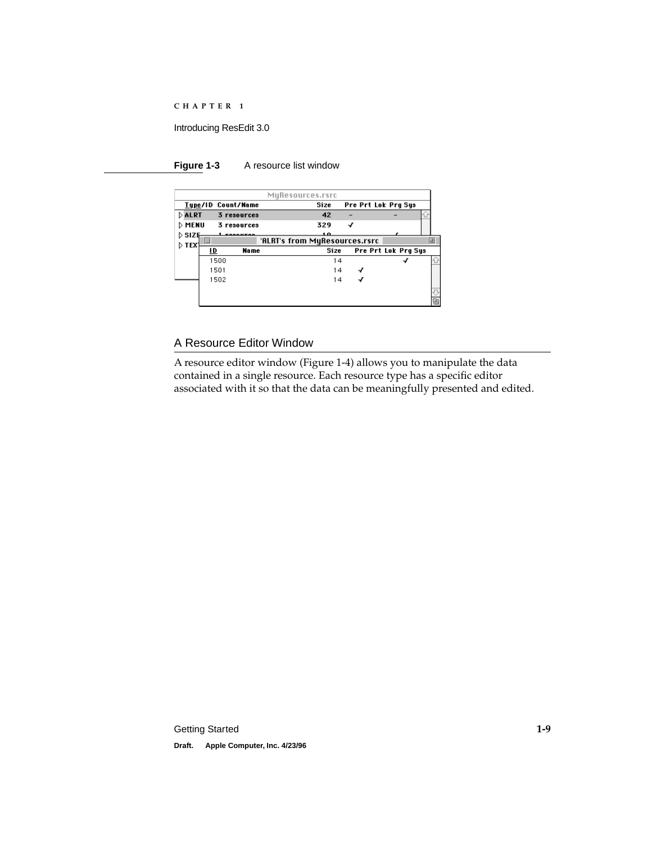#### <span id="page-10-0"></span>Figure 1-3 A resource list window

|                       |                    | MyResources.rsrc              |   |                            |    |
|-----------------------|--------------------|-------------------------------|---|----------------------------|----|
|                       | Type/ID Count/Name | Size                          |   | <b>Pre Prt Lok Prg Sys</b> |    |
| $\triangleright$ ALRT | 3 resources        | 42                            |   |                            |    |
| <b>D MENU</b>         | 3 resources        | 329                           | √ |                            |    |
| D SIZE                | -                  | . .                           |   |                            |    |
| $\triangleright$ TEX  |                    | 'ALRT's from MyResources.rsrc |   |                            | ⊒⊟ |
|                       | ID<br><b>Name</b>  | <b>Size</b>                   |   | <b>Pre Prt Lok Prg Sus</b> |    |
|                       | 1500               | 14                            |   |                            |    |
|                       | 1501               | 14                            |   |                            |    |
|                       | 1502               | 14                            |   |                            |    |
|                       |                    |                               |   |                            |    |
|                       |                    |                               |   |                            |    |
|                       |                    |                               |   |                            |    |

### A Resource Editor Window 1

A resource editor window ([Figure 1-4](#page-11-0)) allows you to manipulate the data contained in a single resource. Each resource type has a specific editor associated with it so that the data can be meaningfully presented and edited.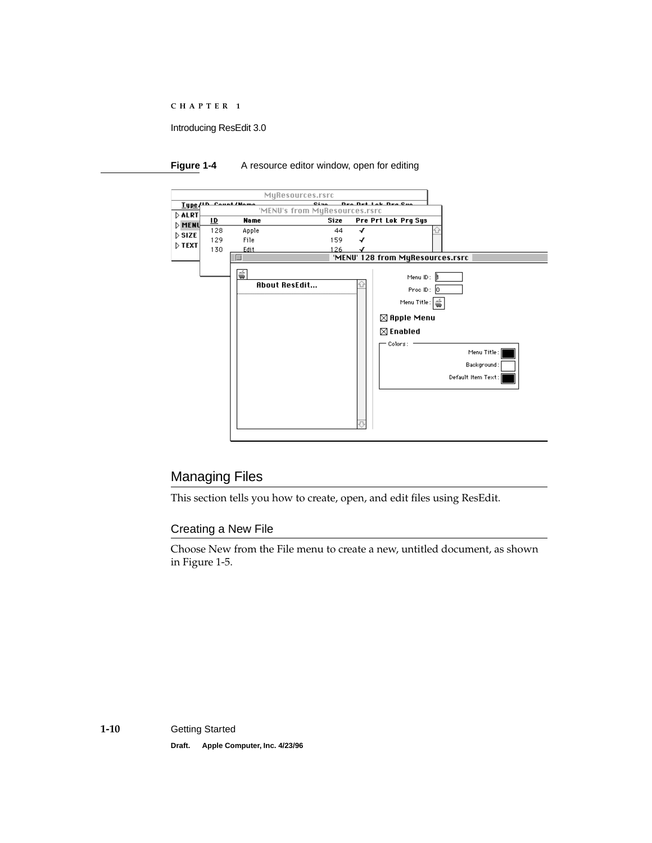#### **Figure 1-4** A resource editor window, open for editing

<span id="page-11-0"></span>

### **Managing Files**

This section tells you how to create, open, and edit files using ResEdit.

#### Creating a New File 1

Choose New from the File menu to create a new, untitled document, as shown in [Figure 1-5](#page-12-0).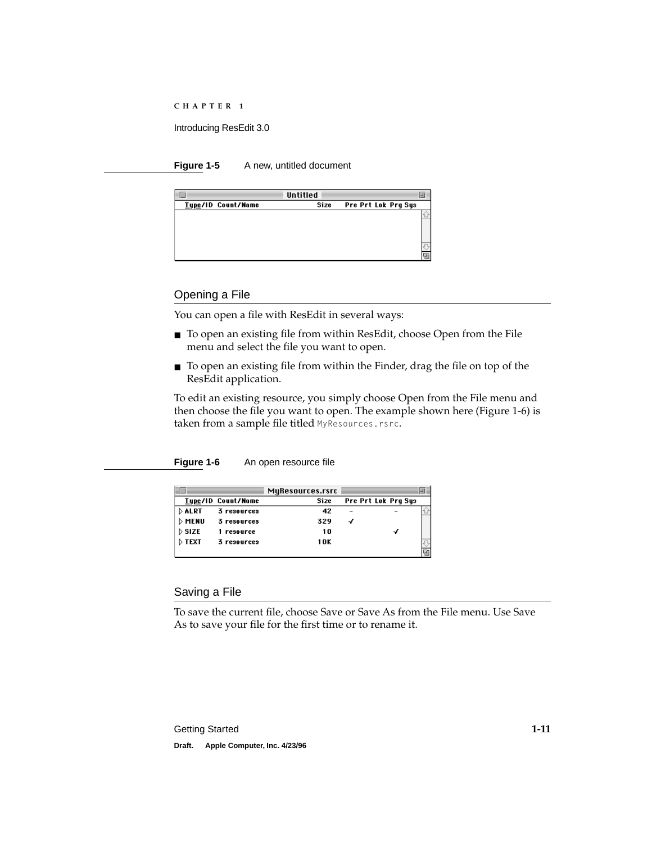<span id="page-12-0"></span>**Figure 1-5** A new, untitled document

|                           | Untitled    |  |                     |  |
|---------------------------|-------------|--|---------------------|--|
| <b>Type/ID Count/Name</b> | <b>Size</b> |  | Pre Prt Lok Prg Sys |  |
|                           |             |  |                     |  |
|                           |             |  |                     |  |
|                           |             |  |                     |  |
|                           |             |  |                     |  |
|                           |             |  |                     |  |
|                           |             |  |                     |  |

#### Opening a File 1

You can open a file with ResEdit in several ways:

- To open an existing file from within ResEdit, choose Open from the File menu and select the file you want to open.
- To open an existing file from within the Finder, drag the file on top of the ResEdit application.

To edit an existing resource, you simply choose Open from the File menu and then choose the file you want to open. The example shown here (Figure 1-6) is taken from a sample file titled MyResources.rsrc.

**Figure 1-6** An open resource file

|                       |                    | <b>MyResources.rsrc</b> |   |                            |   |  |
|-----------------------|--------------------|-------------------------|---|----------------------------|---|--|
|                       | Type/ID Count/Name | <b>Size</b>             |   | <b>Pre Prt Lok Prg Sus</b> |   |  |
| $\triangleright$ ALRT | 3 resources        | 42                      |   |                            |   |  |
| <b>DMENU</b>          | 3 resources        | 329                     | ↵ |                            |   |  |
| $\triangleright$ SIZE | 1 resource         | 10                      |   |                            | √ |  |
| $\triangleright$ TEXT | 3 resources        | 1 O K                   |   |                            |   |  |
|                       |                    |                         |   |                            |   |  |

#### Saving a File 1

To save the current file, choose Save or Save As from the File menu. Use Save As to save your file for the first time or to rename it.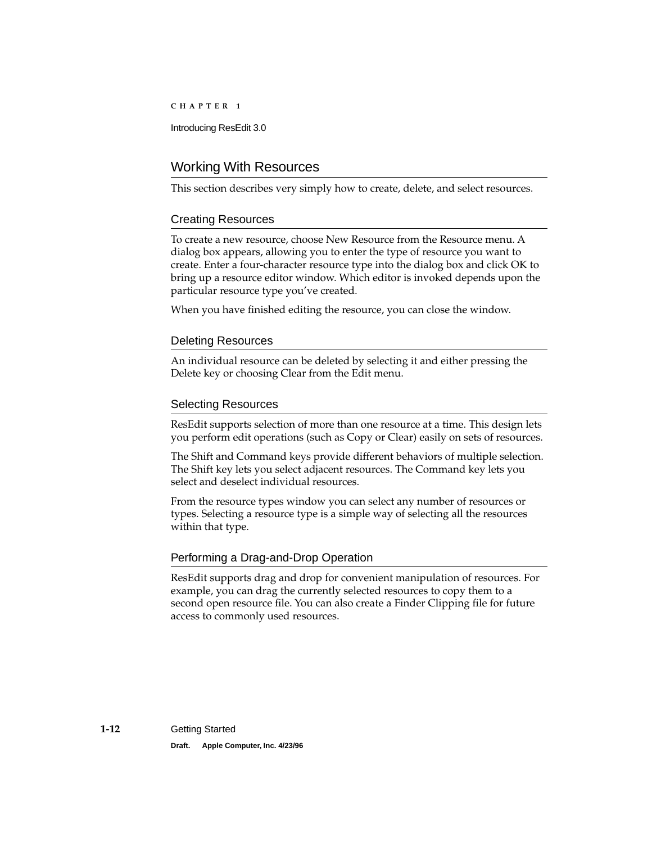### <span id="page-13-0"></span>Working With Resources

This section describes very simply how to create, delete, and select resources.

#### Creating Resources 1

To create a new resource, choose New Resource from the Resource menu. A dialog box appears, allowing you to enter the type of resource you want to create. Enter a four-character resource type into the dialog box and click OK to bring up a resource editor window. Which editor is invoked depends upon the particular resource type you've created.

When you have finished editing the resource, you can close the window.

#### Deleting Resources 1

An individual resource can be deleted by selecting it and either pressing the Delete key or choosing Clear from the Edit menu.

#### Selecting Resources 1

ResEdit supports selection of more than one resource at a time. This design lets you perform edit operations (such as Copy or Clear) easily on sets of resources.

The Shift and Command keys provide different behaviors of multiple selection. The Shift key lets you select adjacent resources. The Command key lets you select and deselect individual resources.

From the resource types window you can select any number of resources or types. Selecting a resource type is a simple way of selecting all the resources within that type.

#### Performing a Drag-and-Drop Operation 1

ResEdit supports drag and drop for convenient manipulation of resources. For example, you can drag the currently selected resources to copy them to a second open resource file. You can also create a Finder Clipping file for future access to commonly used resources.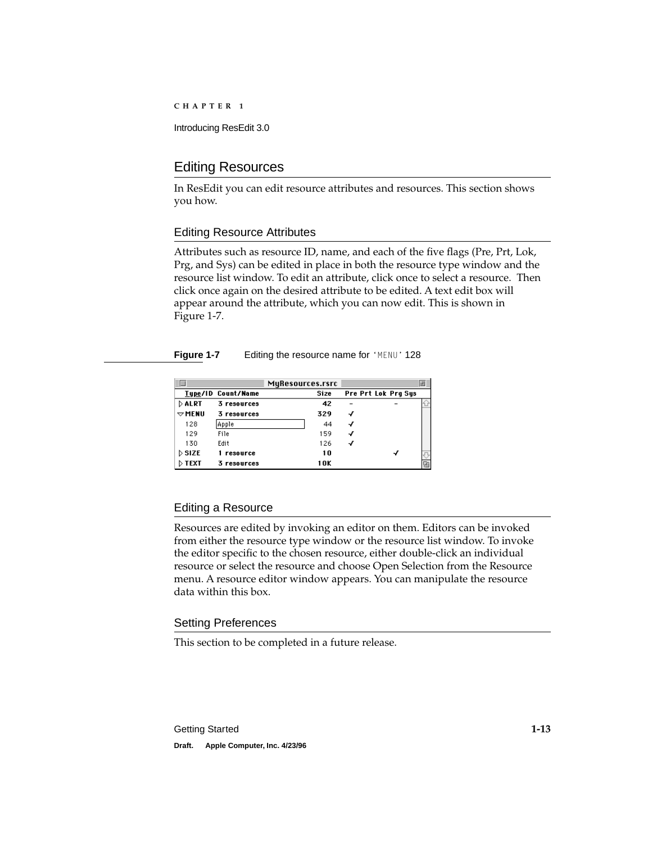### <span id="page-14-0"></span>Editing Resources 1

In ResEdit you can edit resource attributes and resources. This section shows you how.

#### Editing Resource Attributes 1

Attributes such as resource ID, name, and each of the five flags (Pre, Prt, Lok, Prg, and Sys) can be edited in place in both the resource type window and the resource list window. To edit an attribute, click once to select a resource. Then click once again on the desired attribute to be edited. A text edit box will appear around the attribute, which you can now edit. This is shown in Figure 1-7.

| Figure 1-7 | Editing the resource name for 'MENU' 128 |  |  |
|------------|------------------------------------------|--|--|
|------------|------------------------------------------|--|--|

|                       |                    | MyResources.rsrc |   |                            |   | 凹目 |
|-----------------------|--------------------|------------------|---|----------------------------|---|----|
|                       | Type/ID Count/Name | Size             |   | <b>Pre Prt Lok Prg Sus</b> |   |    |
| $\triangleright$ ALRT | 3 resources        | 42               |   |                            |   |    |
| $\sim$ MENU           | 3 resources        | 329              | √ |                            |   |    |
| 128                   | Apple              | 44               | √ |                            |   |    |
| 129                   | File               | 159              |   |                            |   |    |
| 130                   | Edit               | 126              |   |                            |   |    |
| $\triangleright$ SIZE | 1 resource         | 10               |   |                            | √ |    |
| TEXT                  | 3 resources        | 1 O K            |   |                            |   |    |

#### Editing a Resource 1

Resources are edited by invoking an editor on them. Editors can be invoked from either the resource type window or the resource list window. To invoke the editor specific to the chosen resource, either double-click an individual resource or select the resource and choose Open Selection from the Resource menu. A resource editor window appears. You can manipulate the resource data within this box.

#### Setting Preferences

This section to be completed in a future release.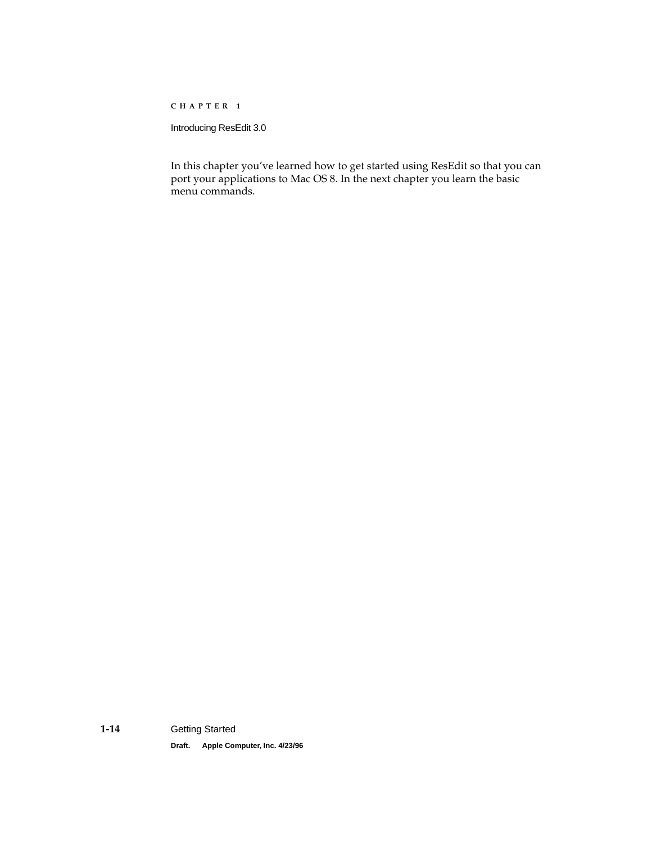Introducing ResEdit 3.0

In this chapter you've learned how to get started using ResEdit so that you can port your applications to Mac OS 8. In the next chapter you learn the basic menu commands.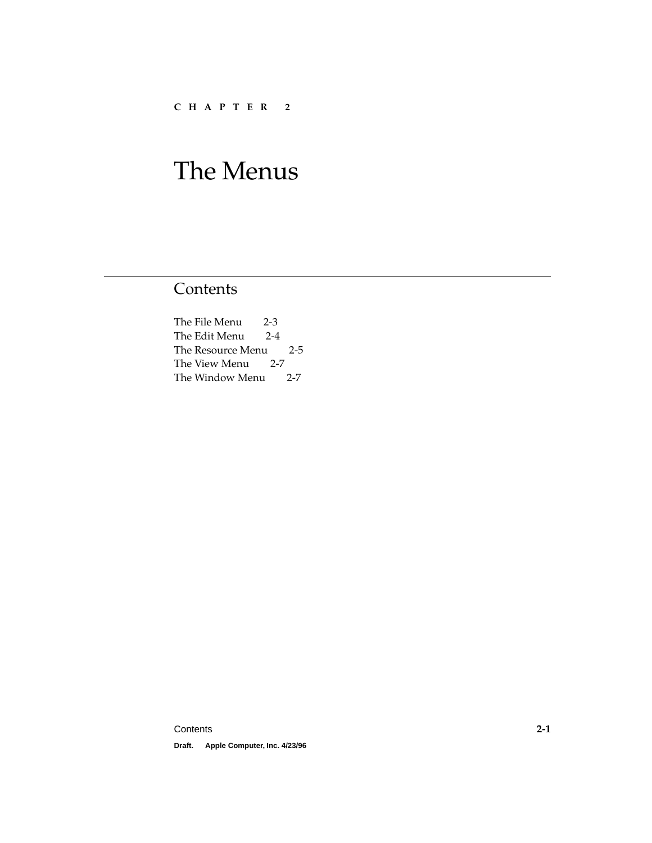# **Contents**

[The File Menu 2-3](#page-18-0) [The Edit Menu 2-4](#page-19-0) [The Resource Menu 2-5](#page-20-0) [The View Menu 2-7](#page-22-0) [The Window Menu 2-7](#page-22-0)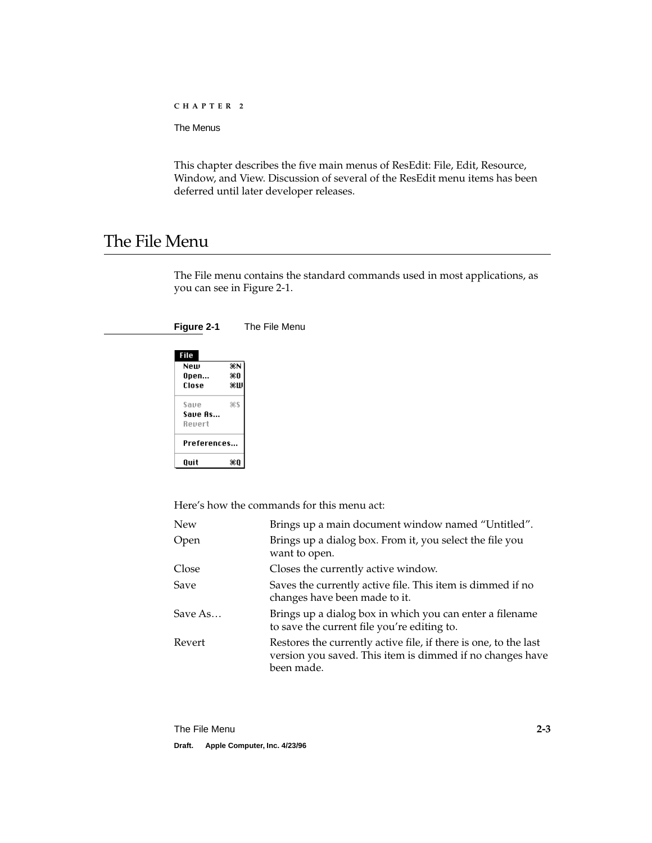<span id="page-18-0"></span>The Menus

This chapter describes the five main menus of ResEdit: File, Edit, Resource, Window, and View. Discussion of several of the ResEdit menu items has been deferred until later developer releases.

# The File Menu

The File menu contains the standard commands used in most applications, as you can see in Figure 2-1.

**Figure 2-1** The File Menu

| File        |    |
|-------------|----|
| New         | ЖN |
| Open        | жn |
| Close       | жш |
| Saue        | ЖS |
| Save As     |    |
| Revert      |    |
| Preferences |    |
| Ouit        | ж0 |

Here's how the commands for this menu act:

| <b>New</b> | Brings up a main document window named "Untitled".                                                                                          |
|------------|---------------------------------------------------------------------------------------------------------------------------------------------|
| Open       | Brings up a dialog box. From it, you select the file you<br>want to open.                                                                   |
| Close      | Closes the currently active window.                                                                                                         |
| Save       | Saves the currently active file. This item is dimmed if no<br>changes have been made to it.                                                 |
| Save As    | Brings up a dialog box in which you can enter a filename<br>to save the current file you're editing to.                                     |
| Revert     | Restores the currently active file, if there is one, to the last<br>version you saved. This item is dimmed if no changes have<br>been made. |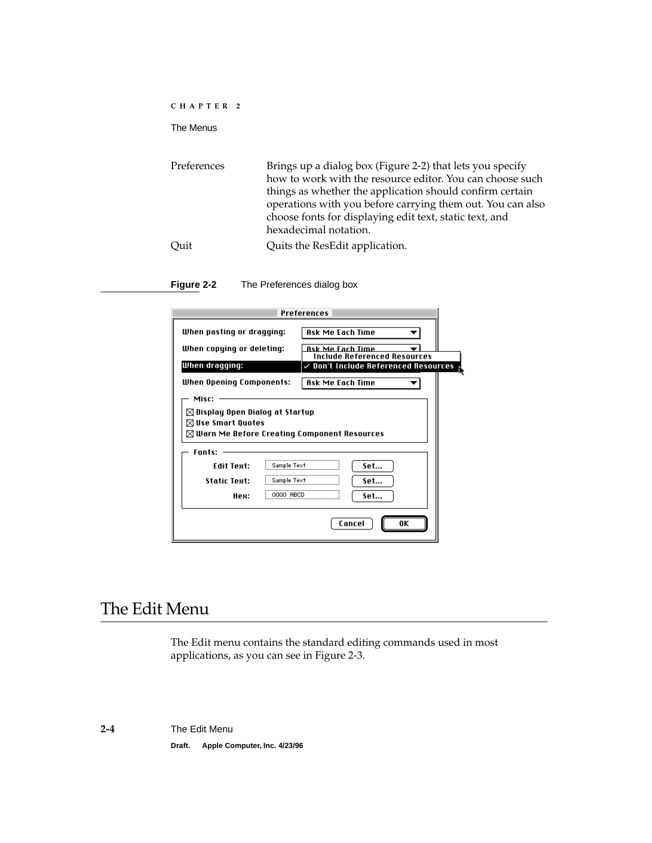<span id="page-19-0"></span>

| CHAPTER 2   |                                                                                                                                                                                                                                                                                                                                      |
|-------------|--------------------------------------------------------------------------------------------------------------------------------------------------------------------------------------------------------------------------------------------------------------------------------------------------------------------------------------|
| The Menus   |                                                                                                                                                                                                                                                                                                                                      |
| Preferences | Brings up a dialog box (Figure 2-2) that lets you specify<br>how to work with the resource editor. You can choose such<br>things as whether the application should confirm certain<br>operations with you before carrying them out. You can also<br>choose fonts for displaying edit text, static text, and<br>hexadecimal notation. |
| Ouit        | Quits the ResEdit application.                                                                                                                                                                                                                                                                                                       |
|             |                                                                                                                                                                                                                                                                                                                                      |

#### **Figure 2-2** The Preferences dialog box

| <b>Preferences</b>                                                                                                                                       |             |                                                                |        |                                           |
|----------------------------------------------------------------------------------------------------------------------------------------------------------|-------------|----------------------------------------------------------------|--------|-------------------------------------------|
| When pasting or dragging:                                                                                                                                |             | Ask Me Each Time                                               |        |                                           |
| When copying or deleting:                                                                                                                                |             | <b>Ask Me Fach Time</b><br><b>Include Referenced Resources</b> |        |                                           |
| When dragging:                                                                                                                                           |             |                                                                |        | <b>Don't Include Referenced Resources</b> |
| When Opening Components:                                                                                                                                 |             | Ask Me Each Time                                               |        |                                           |
| Misc:<br>$\boxtimes$ Display Open Dialog at Startup<br>$\boxtimes$ Use Smart Quotes<br>$\boxtimes$ Warn Me Before Creating Component Resources<br>Fonts: |             |                                                                |        |                                           |
| <b>Fdit Text:</b>                                                                                                                                        | Sample Text |                                                                | Set    |                                           |
| <b>Static Text:</b>                                                                                                                                      | Sample Text |                                                                | Set    |                                           |
| Нен:                                                                                                                                                     | 0000 ABCD   |                                                                | Set    |                                           |
|                                                                                                                                                          |             |                                                                | Cancel | ΠK                                        |

# The Edit Menu

The Edit menu contains the standard editing commands used in most applications, as you can see in [Figure 2-3](#page-20-0).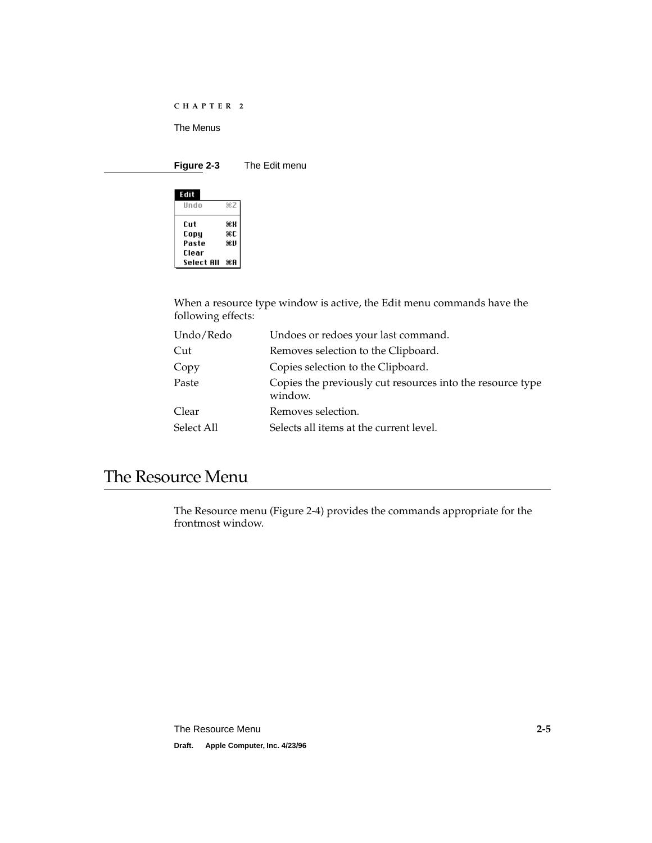<span id="page-20-0"></span>**Figure 2-3** The Edit menu

### Edit

| llndn      | $*7$ |
|------------|------|
| Cut        | жH   |
| Copy       | жC   |
| Paste      | жIJ  |
| Clear      |      |
| Select All | ЖA   |

When a resource type window is active, the Edit menu commands have the following effects:

| Undo/Redo  | Undoes or redoes your last command.                                   |
|------------|-----------------------------------------------------------------------|
| Cut        | Removes selection to the Clipboard.                                   |
| Copy       | Copies selection to the Clipboard.                                    |
| Paste      | Copies the previously cut resources into the resource type<br>window. |
| Clear      | Removes selection.                                                    |
| Select All | Selects all items at the current level.                               |
|            |                                                                       |

# The Resource Menu

The Resource menu ([Figure 2-4](#page-21-0)) provides the commands appropriate for the frontmost window.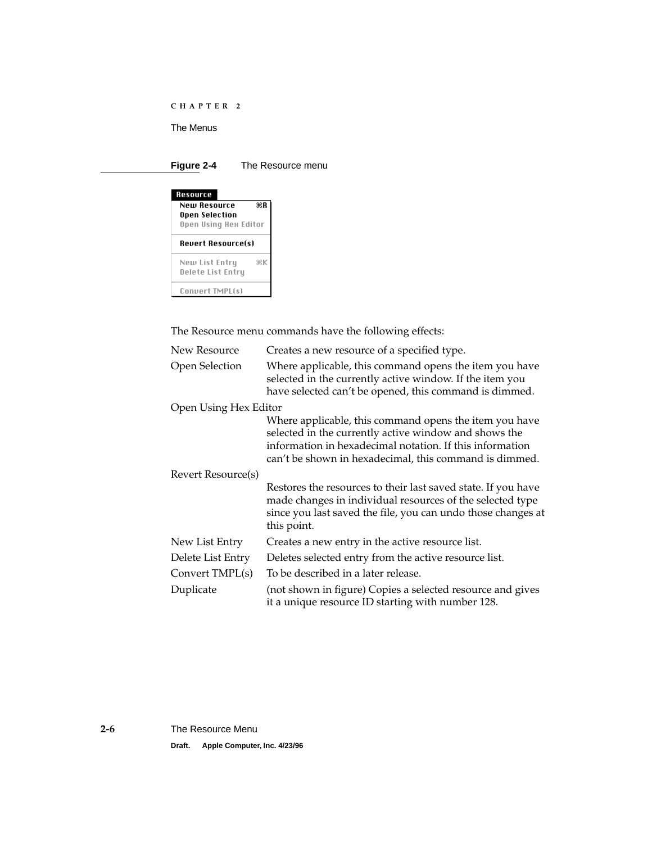#### <span id="page-21-0"></span>**Figure 2-4** The Resource menu

| Resource                            |    |
|-------------------------------------|----|
| New Resource<br>Open Selection      | ЖR |
| Open Using Hex Editor               |    |
| Revert Resource(s)                  |    |
| New List Entry<br>Delete List Entry | ЖK |
| <b>Convert TMPL(s)</b>              |    |

The Resource menu commands have the following effects:

| New Resource          | Creates a new resource of a specified type.                                                                                                                                                                                           |
|-----------------------|---------------------------------------------------------------------------------------------------------------------------------------------------------------------------------------------------------------------------------------|
| Open Selection        | Where applicable, this command opens the item you have<br>selected in the currently active window. If the item you<br>have selected can't be opened, this command is dimmed.                                                          |
| Open Using Hex Editor |                                                                                                                                                                                                                                       |
|                       | Where applicable, this command opens the item you have<br>selected in the currently active window and shows the<br>information in hexadecimal notation. If this information<br>can't be shown in hexadecimal, this command is dimmed. |
| Revert Resource(s)    |                                                                                                                                                                                                                                       |
|                       | Restores the resources to their last saved state. If you have<br>made changes in individual resources of the selected type<br>since you last saved the file, you can undo those changes at<br>this point.                             |
| New List Entry        | Creates a new entry in the active resource list.                                                                                                                                                                                      |
| Delete List Entry     | Deletes selected entry from the active resource list.                                                                                                                                                                                 |
| Convert TMPL(s)       | To be described in a later release.                                                                                                                                                                                                   |
| Duplicate             | (not shown in figure) Copies a selected resource and gives<br>it a unique resource ID starting with number 128.                                                                                                                       |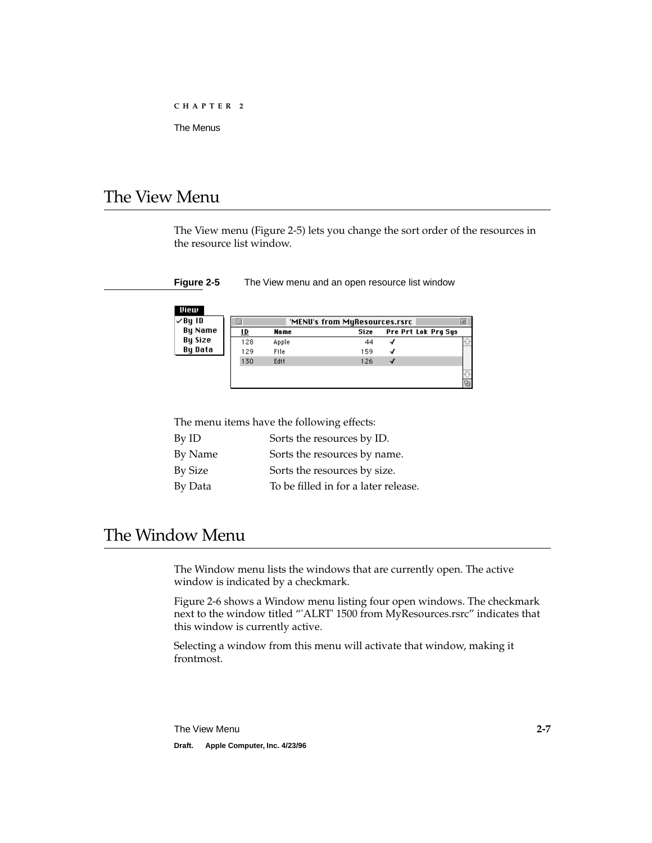# <span id="page-22-0"></span>The View Menu 2

The View menu (Figure 2-5) lets you change the sort order of the resources in the resource list window.

#### **Figure 2-5** The View menu and an open resource list window

| View           |                                     |             |             |   |  |                            |   |
|----------------|-------------------------------------|-------------|-------------|---|--|----------------------------|---|
| ∠By 10         | 'MENU's from MyResources.rsrc<br>ΞI |             |             |   |  | ॻ⋾                         |   |
| <b>By Name</b> | ۱D                                  | <b>Name</b> | <b>Size</b> |   |  | <b>Pre Prt Lok Prg Sus</b> |   |
| <b>By Size</b> | 128                                 | Apple       | 44          | √ |  |                            |   |
| <b>By Data</b> | 129                                 | File        | 159         | √ |  |                            |   |
|                | 130                                 | Edit        | 126         | √ |  |                            |   |
|                |                                     |             |             |   |  |                            |   |
|                |                                     |             |             |   |  |                            | 喕 |

The menu items have the following effects:

| By ID-  | Sorts the resources by ID.           |
|---------|--------------------------------------|
| By Name | Sorts the resources by name.         |
| By Size | Sorts the resources by size.         |
| By Data | To be filled in for a later release. |

# The Window Menu 2

The Window menu lists the windows that are currently open. The active window is indicated by a checkmark.

[Figure 2-6](#page-23-0) shows a Window menu listing four open windows. The checkmark next to the window titled "'ALRT' 1500 from MyResources.rsrc" indicates that this window is currently active.

Selecting a window from this menu will activate that window, making it frontmost.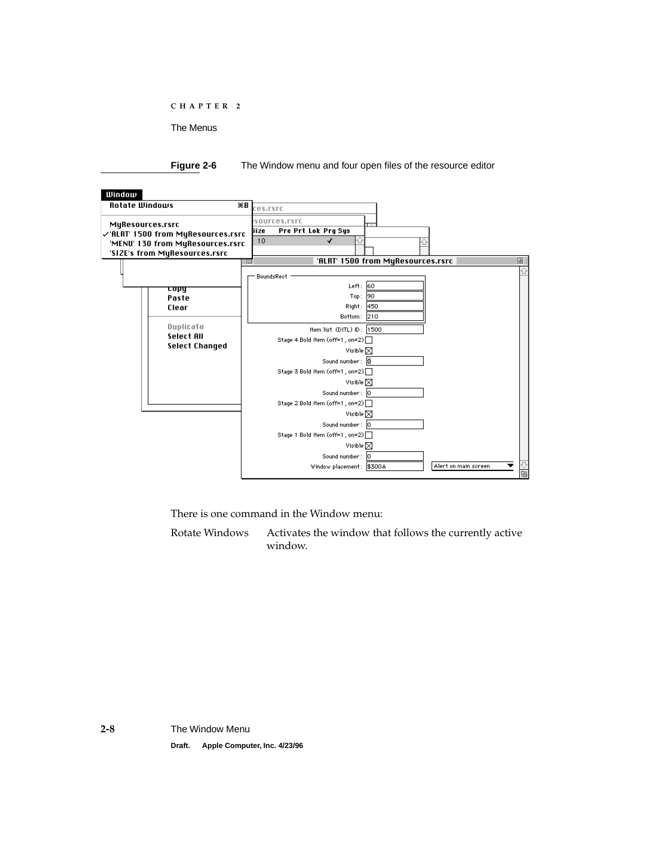**Figure 2-6** The Window menu and four open files of the resource editor

<span id="page-23-0"></span>

There is one command in the Window menu:

Rotate Windows Activates the window that follows the currently active window.